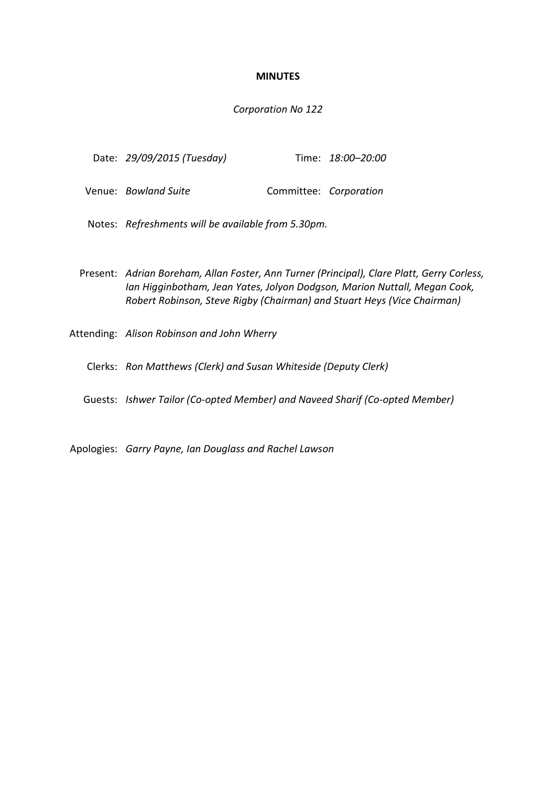## **MINUTES**

## *Corporation No 122*

| Date: 29/09/2015 (Tuesday) | Time: 18:00-20:00      |  |
|----------------------------|------------------------|--|
| Venue: Bowland Suite       | Committee: Corporation |  |

Notes: *Refreshments will be available from 5.30pm.*

Present: *Adrian Boreham, Allan Foster, Ann Turner (Principal), Clare Platt, Gerry Corless, Ian Higginbotham, Jean Yates, Jolyon Dodgson, Marion Nuttall, Megan Cook, Robert Robinson, Steve Rigby (Chairman) and Stuart Heys (Vice Chairman)*

Attending: *Alison Robinson and John Wherry*

Clerks: *Ron Matthews (Clerk) and Susan Whiteside (Deputy Clerk)*

Guests: *Ishwer Tailor (Co-opted Member) and Naveed Sharif (Co-opted Member)*

Apologies: *Garry Payne, Ian Douglass and Rachel Lawson*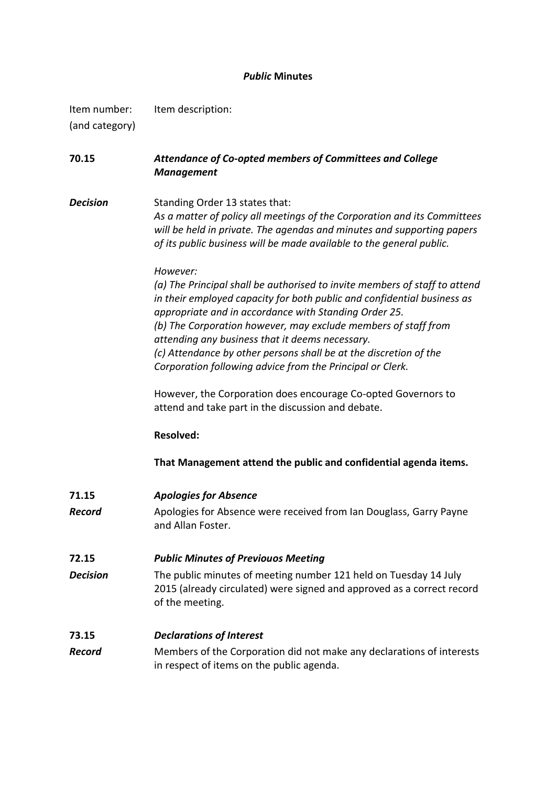# *Public* **Minutes**

| Item number:   | Item description: |
|----------------|-------------------|
| (and category) |                   |

# **70.15** *Attendance of Co-opted members of Committees and College Management*

**Decision** Standing Order 13 states that: *As a matter of policy all meetings of the Corporation and its Committees will be held in private. The agendas and minutes and supporting papers of its public business will be made available to the general public.*

## *However:*

*(a) The Principal shall be authorised to invite members of staff to attend in their employed capacity for both public and confidential business as appropriate and in accordance with Standing Order 25. (b) The Corporation however, may exclude members of staff from attending any business that it deems necessary. (c) Attendance by other persons shall be at the discretion of the Corporation following advice from the Principal or Clerk.*

However, the Corporation does encourage Co-opted Governors to attend and take part in the discussion and debate.

## **Resolved:**

**That Management attend the public and confidential agenda items.**

- **71.15** *Apologies for Absence*
- **Record** Apologies for Absence were received from Ian Douglass, Garry Payne and Allan Foster.

## **72.15** *Public Minutes of Previouos Meeting*

*Decision* The public minutes of meeting number 121 held on Tuesday 14 July 2015 (already circulated) were signed and approved as a correct record of the meeting.

## **73.15** *Declarations of Interest*

*Record* Members of the Corporation did not make any declarations of interests in respect of items on the public agenda.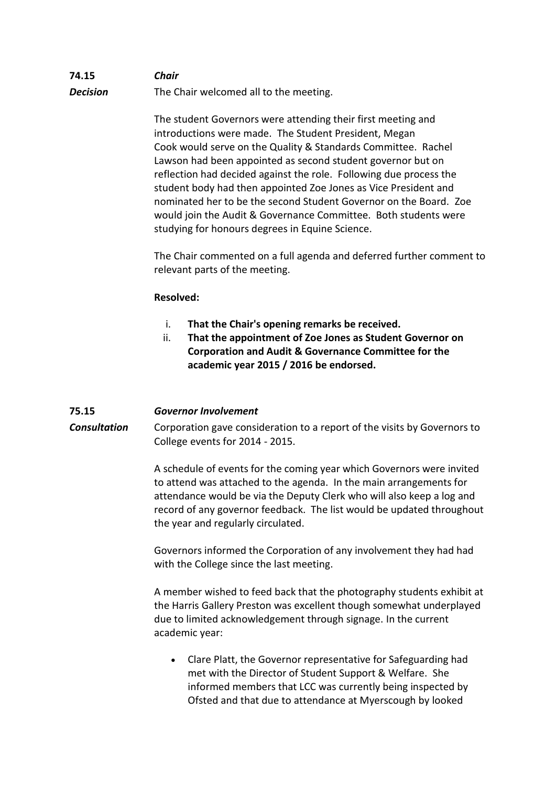# **74.15** *Chair* **Decision** The Chair welcomed all to the meeting.

The student Governors were attending their first meeting and introductions were made. The Student President, Megan Cook would serve on the Quality & Standards Committee. Rachel Lawson had been appointed as second student governor but on reflection had decided against the role. Following due process the student body had then appointed Zoe Jones as Vice President and nominated her to be the second Student Governor on the Board. Zoe would join the Audit & Governance Committee. Both students were studying for honours degrees in Equine Science.

The Chair commented on a full agenda and deferred further comment to relevant parts of the meeting.

# **Resolved:**

- i. **That the Chair's opening remarks be received.**
- ii. **That the appointment of Zoe Jones as Student Governor on Corporation and Audit & Governance Committee for the academic year 2015 / 2016 be endorsed.**

# **75.15** *Governor Involvement*

**Consultation** Corporation gave consideration to a report of the visits by Governors to College events for 2014 - 2015.

> A schedule of events for the coming year which Governors were invited to attend was attached to the agenda. In the main arrangements for attendance would be via the Deputy Clerk who will also keep a log and record of any governor feedback. The list would be updated throughout the year and regularly circulated.

Governors informed the Corporation of any involvement they had had with the College since the last meeting.

A member wished to feed back that the photography students exhibit at the Harris Gallery Preston was excellent though somewhat underplayed due to limited acknowledgement through signage. In the current academic year:

 Clare Platt, the Governor representative for Safeguarding had met with the Director of Student Support & Welfare. She informed members that LCC was currently being inspected by Ofsted and that due to attendance at Myerscough by looked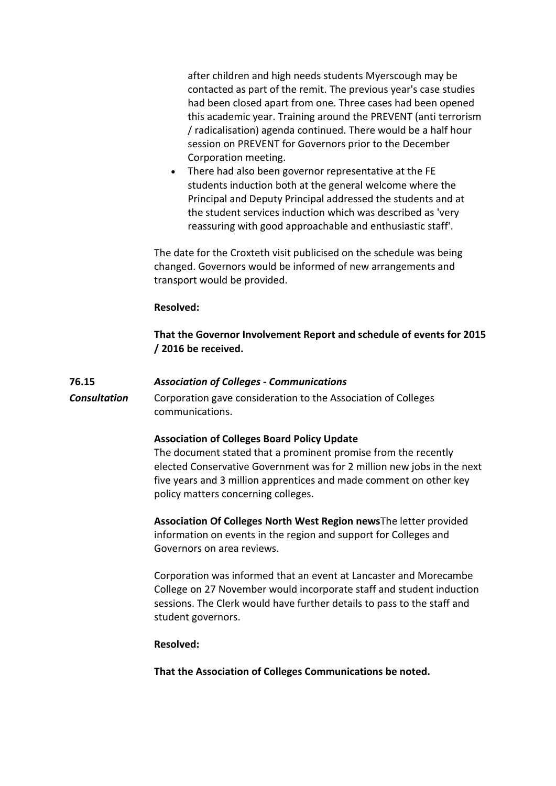after children and high needs students Myerscough may be contacted as part of the remit. The previous year's case studies had been closed apart from one. Three cases had been opened this academic year. Training around the PREVENT (anti terrorism / radicalisation) agenda continued. There would be a half hour session on PREVENT for Governors prior to the December Corporation meeting.

 There had also been governor representative at the FE students induction both at the general welcome where the Principal and Deputy Principal addressed the students and at the student services induction which was described as 'very reassuring with good approachable and enthusiastic staff'.

The date for the Croxteth visit publicised on the schedule was being changed. Governors would be informed of new arrangements and transport would be provided.

## **Resolved:**

**That the Governor Involvement Report and schedule of events for 2015 / 2016 be received.**

## **76.15** *Association of Colleges - Communications*

**Consultation** Corporation gave consideration to the Association of Colleges communications.

## **Association of Colleges Board Policy Update**

The document stated that a prominent promise from the recently elected Conservative Government was for 2 million new jobs in the next five years and 3 million apprentices and made comment on other key policy matters concerning colleges.

**Association Of Colleges North West Region news**The letter provided information on events in the region and support for Colleges and Governors on area reviews.

Corporation was informed that an event at Lancaster and Morecambe College on 27 November would incorporate staff and student induction sessions. The Clerk would have further details to pass to the staff and student governors.

## **Resolved:**

**That the Association of Colleges Communications be noted.**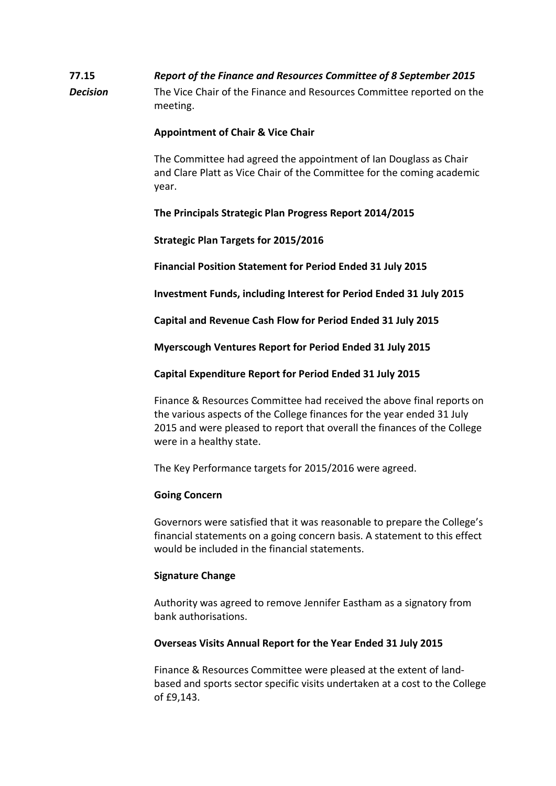# **77.15** *Report of the Finance and Resources Committee of 8 September 2015 Decision* The Vice Chair of the Finance and Resources Committee reported on the meeting.

# **Appointment of Chair & Vice Chair**

The Committee had agreed the appointment of Ian Douglass as Chair and Clare Platt as Vice Chair of the Committee for the coming academic year.

# **The Principals Strategic Plan Progress Report 2014/2015**

**Strategic Plan Targets for 2015/2016**

**Financial Position Statement for Period Ended 31 July 2015** 

**Investment Funds, including Interest for Period Ended 31 July 2015**

**Capital and Revenue Cash Flow for Period Ended 31 July 2015**

**Myerscough Ventures Report for Period Ended 31 July 2015**

**Capital Expenditure Report for Period Ended 31 July 2015**

Finance & Resources Committee had received the above final reports on the various aspects of the College finances for the year ended 31 July 2015 and were pleased to report that overall the finances of the College were in a healthy state.

The Key Performance targets for 2015/2016 were agreed.

# **Going Concern**

Governors were satisfied that it was reasonable to prepare the College's financial statements on a going concern basis. A statement to this effect would be included in the financial statements.

# **Signature Change**

Authority was agreed to remove Jennifer Eastham as a signatory from bank authorisations.

# **Overseas Visits Annual Report for the Year Ended 31 July 2015**

Finance & Resources Committee were pleased at the extent of landbased and sports sector specific visits undertaken at a cost to the College of £9,143.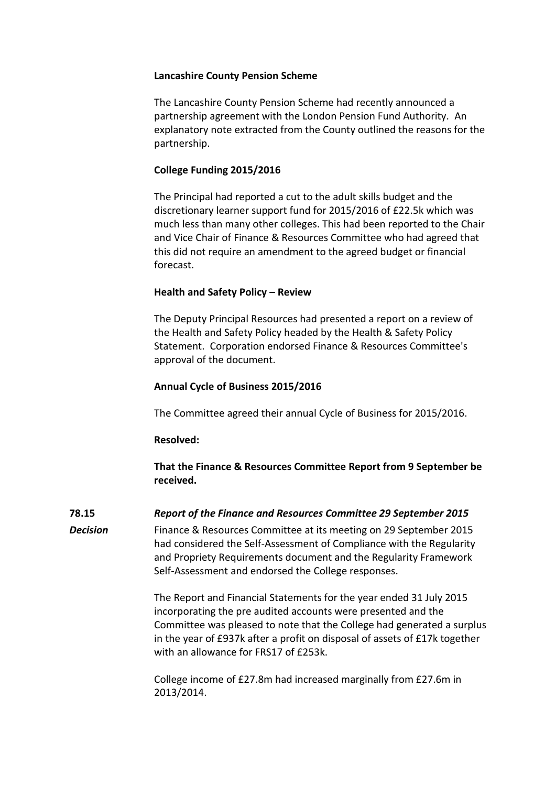# **Lancashire County Pension Scheme**

The Lancashire County Pension Scheme had recently announced a partnership agreement with the London Pension Fund Authority. An explanatory note extracted from the County outlined the reasons for the partnership.

# **College Funding 2015/2016**

The Principal had reported a cut to the adult skills budget and the discretionary learner support fund for 2015/2016 of £22.5k which was much less than many other colleges. This had been reported to the Chair and Vice Chair of Finance & Resources Committee who had agreed that this did not require an amendment to the agreed budget or financial forecast.

# **Health and Safety Policy – Review**

The Deputy Principal Resources had presented a report on a review of the Health and Safety Policy headed by the Health & Safety Policy Statement. Corporation endorsed Finance & Resources Committee's approval of the document.

# **Annual Cycle of Business 2015/2016**

The Committee agreed their annual Cycle of Business for 2015/2016.

# **Resolved:**

**That the Finance & Resources Committee Report from 9 September be received.**

**78.15** *Report of the Finance and Resources Committee 29 September 2015*

*Decision* Finance & Resources Committee at its meeting on 29 September 2015 had considered the Self-Assessment of Compliance with the Regularity and Propriety Requirements document and the Regularity Framework Self-Assessment and endorsed the College responses.

> The Report and Financial Statements for the year ended 31 July 2015 incorporating the pre audited accounts were presented and the Committee was pleased to note that the College had generated a surplus in the year of £937k after a profit on disposal of assets of £17k together with an allowance for FRS17 of £253k.

College income of £27.8m had increased marginally from £27.6m in 2013/2014.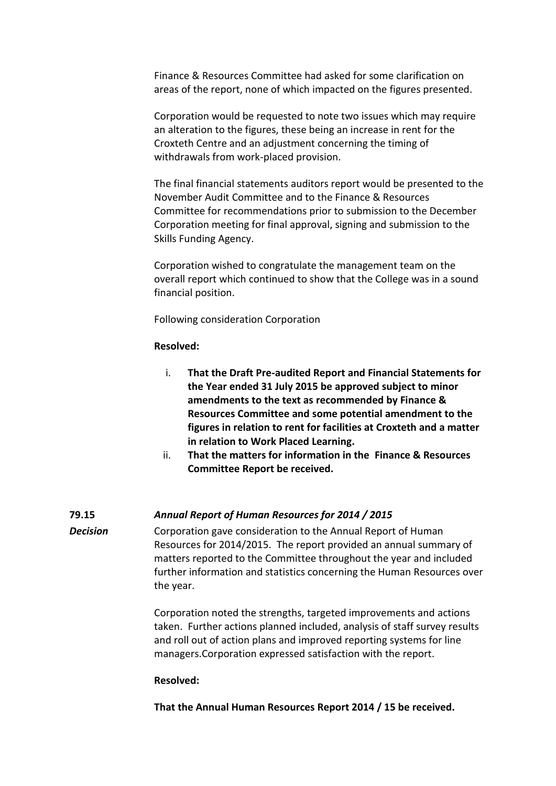Finance & Resources Committee had asked for some clarification on areas of the report, none of which impacted on the figures presented.

Corporation would be requested to note two issues which may require an alteration to the figures, these being an increase in rent for the Croxteth Centre and an adjustment concerning the timing of withdrawals from work-placed provision.

The final financial statements auditors report would be presented to the November Audit Committee and to the Finance & Resources Committee for recommendations prior to submission to the December Corporation meeting for final approval, signing and submission to the Skills Funding Agency.

Corporation wished to congratulate the management team on the overall report which continued to show that the College was in a sound financial position.

Following consideration Corporation

# **Resolved:**

- i. **That the Draft Pre-audited Report and Financial Statements for the Year ended 31 July 2015 be approved subject to minor amendments to the text as recommended by Finance & Resources Committee and some potential amendment to the figures in relation to rent for facilities at Croxteth and a matter in relation to Work Placed Learning.**
- ii. **That the matters for information in the Finance & Resources Committee Report be received.**

# **79.15** *Annual Report of Human Resources for 2014 / 2015*

**Decision** Corporation gave consideration to the Annual Report of Human Resources for 2014/2015. The report provided an annual summary of matters reported to the Committee throughout the year and included further information and statistics concerning the Human Resources over the year.

> Corporation noted the strengths, targeted improvements and actions taken. Further actions planned included, analysis of staff survey results and roll out of action plans and improved reporting systems for line managers.Corporation expressed satisfaction with the report.

# **Resolved:**

**That the Annual Human Resources Report 2014 / 15 be received.**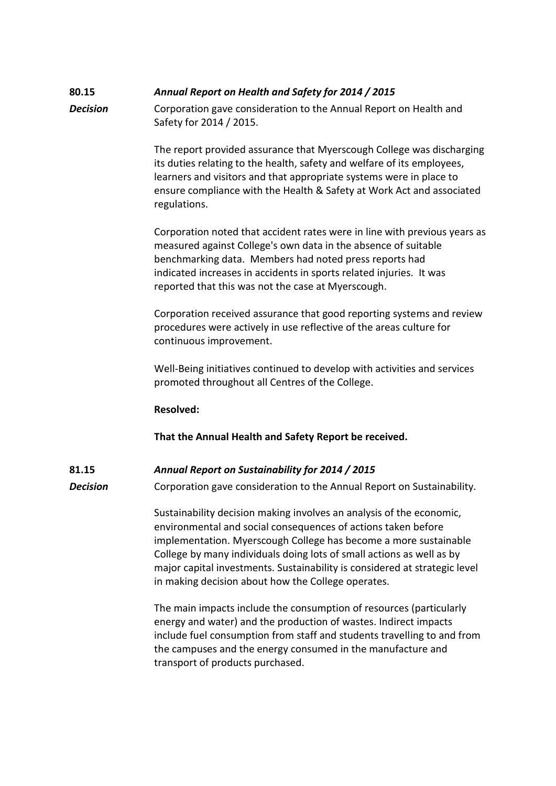# **80.15** *Annual Report on Health and Safety for 2014 / 2015*

*Decision* Corporation gave consideration to the Annual Report on Health and Safety for 2014 / 2015.

> The report provided assurance that Myerscough College was discharging its duties relating to the health, safety and welfare of its employees, learners and visitors and that appropriate systems were in place to ensure compliance with the Health & Safety at Work Act and associated regulations.

> Corporation noted that accident rates were in line with previous years as measured against College's own data in the absence of suitable benchmarking data. Members had noted press reports had indicated increases in accidents in sports related injuries. It was reported that this was not the case at Myerscough.

Corporation received assurance that good reporting systems and review procedures were actively in use reflective of the areas culture for continuous improvement.

Well-Being initiatives continued to develop with activities and services promoted throughout all Centres of the College.

# **Resolved:**

**That the Annual Health and Safety Report be received.**

**81.15** *Annual Report on Sustainability for 2014 / 2015* **Decision** Corporation gave consideration to the Annual Report on Sustainability.

> Sustainability decision making involves an analysis of the economic, environmental and social consequences of actions taken before implementation. Myerscough College has become a more sustainable College by many individuals doing lots of small actions as well as by major capital investments. Sustainability is considered at strategic level in making decision about how the College operates.

> The main impacts include the consumption of resources (particularly energy and water) and the production of wastes. Indirect impacts include fuel consumption from staff and students travelling to and from the campuses and the energy consumed in the manufacture and transport of products purchased.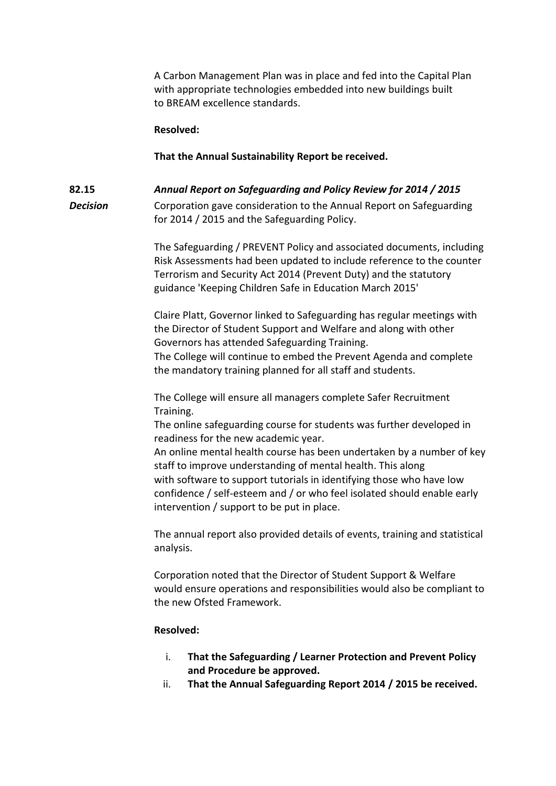A Carbon Management Plan was in place and fed into the Capital Plan with appropriate technologies embedded into new buildings built to BREAM excellence standards.

## **Resolved:**

## **That the Annual Sustainability Report be received.**

# **82.15** *Annual Report on Safeguarding and Policy Review for 2014 / 2015* **Decision** Corporation gave consideration to the Annual Report on Safeguarding for 2014 / 2015 and the Safeguarding Policy.

The Safeguarding / PREVENT Policy and associated documents, including Risk Assessments had been updated to include reference to the counter Terrorism and Security Act 2014 (Prevent Duty) and the statutory guidance 'Keeping Children Safe in Education March 2015'

Claire Platt, Governor linked to Safeguarding has regular meetings with the Director of Student Support and Welfare and along with other Governors has attended Safeguarding Training.

The College will continue to embed the Prevent Agenda and complete the mandatory training planned for all staff and students.

The College will ensure all managers complete Safer Recruitment Training.

The online safeguarding course for students was further developed in readiness for the new academic year.

An online mental health course has been undertaken by a number of key staff to improve understanding of mental health. This along with software to support tutorials in identifying those who have low confidence / self-esteem and / or who feel isolated should enable early intervention / support to be put in place.

The annual report also provided details of events, training and statistical analysis.

Corporation noted that the Director of Student Support & Welfare would ensure operations and responsibilities would also be compliant to the new Ofsted Framework.

## **Resolved:**

- i. **That the Safeguarding / Learner Protection and Prevent Policy and Procedure be approved.**
- ii. **That the Annual Safeguarding Report 2014 / 2015 be received.**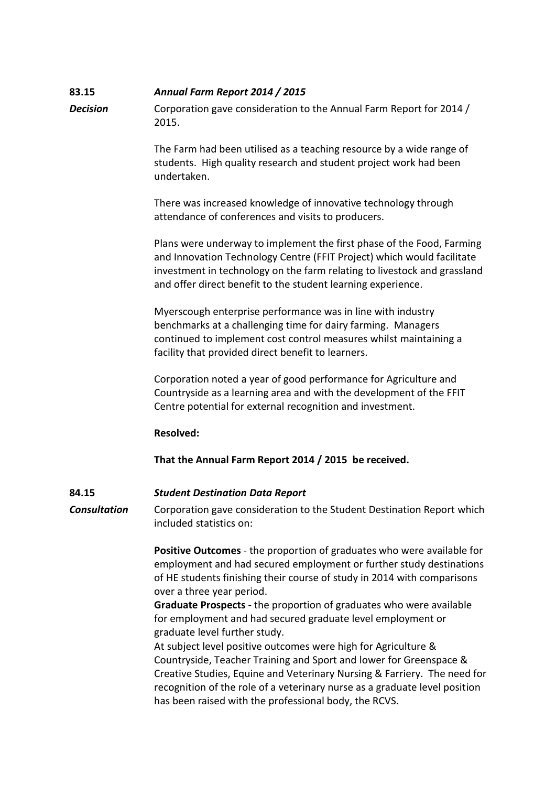# **83.15** *Annual Farm Report 2014 / 2015*

*Decision* Corporation gave consideration to the Annual Farm Report for 2014 / 2015.

> The Farm had been utilised as a teaching resource by a wide range of students. High quality research and student project work had been undertaken.

There was increased knowledge of innovative technology through attendance of conferences and visits to producers.

Plans were underway to implement the first phase of the Food, Farming and Innovation Technology Centre (FFIT Project) which would facilitate investment in technology on the farm relating to livestock and grassland and offer direct benefit to the student learning experience.

Myerscough enterprise performance was in line with industry benchmarks at a challenging time for dairy farming. Managers continued to implement cost control measures whilst maintaining a facility that provided direct benefit to learners.

Corporation noted a year of good performance for Agriculture and Countryside as a learning area and with the development of the FFIT Centre potential for external recognition and investment.

## **Resolved:**

**That the Annual Farm Report 2014 / 2015 be received.**

**84.15** *Student Destination Data Report*

**Consultation** Corporation gave consideration to the Student Destination Report which included statistics on:

> **Positive Outcomes** - the proportion of graduates who were available for employment and had secured employment or further study destinations of HE students finishing their course of study in 2014 with comparisons over a three year period.

**Graduate Prospects -** the proportion of graduates who were available for employment and had secured graduate level employment or graduate level further study.

At subject level positive outcomes were high for Agriculture & Countryside, Teacher Training and Sport and lower for Greenspace & Creative Studies, Equine and Veterinary Nursing & Farriery. The need for recognition of the role of a veterinary nurse as a graduate level position has been raised with the professional body, the RCVS.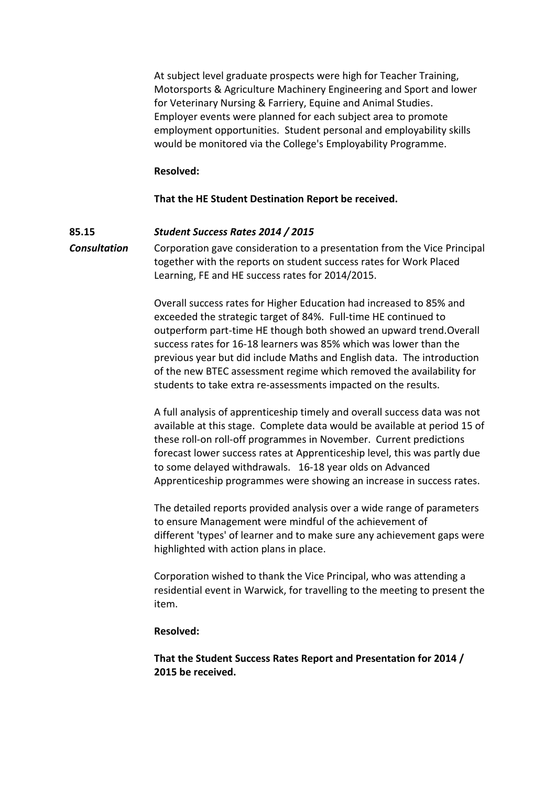At subject level graduate prospects were high for Teacher Training, Motorsports & Agriculture Machinery Engineering and Sport and lower for Veterinary Nursing & Farriery, Equine and Animal Studies. Employer events were planned for each subject area to promote employment opportunities. Student personal and employability skills would be monitored via the College's Employability Programme.

## **Resolved:**

# **That the HE Student Destination Report be received.**

## **85.15** *Student Success Rates 2014 / 2015*

*Consultation* Corporation gave consideration to a presentation from the Vice Principal together with the reports on student success rates for Work Placed Learning, FE and HE success rates for 2014/2015.

> Overall success rates for Higher Education had increased to 85% and exceeded the strategic target of 84%. Full-time HE continued to outperform part-time HE though both showed an upward trend.Overall success rates for 16-18 learners was 85% which was lower than the previous year but did include Maths and English data. The introduction of the new BTEC assessment regime which removed the availability for students to take extra re-assessments impacted on the results.

A full analysis of apprenticeship timely and overall success data was not available at this stage. Complete data would be available at period 15 of these roll-on roll-off programmes in November. Current predictions forecast lower success rates at Apprenticeship level, this was partly due to some delayed withdrawals. 16-18 year olds on Advanced Apprenticeship programmes were showing an increase in success rates.

The detailed reports provided analysis over a wide range of parameters to ensure Management were mindful of the achievement of different 'types' of learner and to make sure any achievement gaps were highlighted with action plans in place.

Corporation wished to thank the Vice Principal, who was attending a residential event in Warwick, for travelling to the meeting to present the item.

## **Resolved:**

**That the Student Success Rates Report and Presentation for 2014 / 2015 be received.**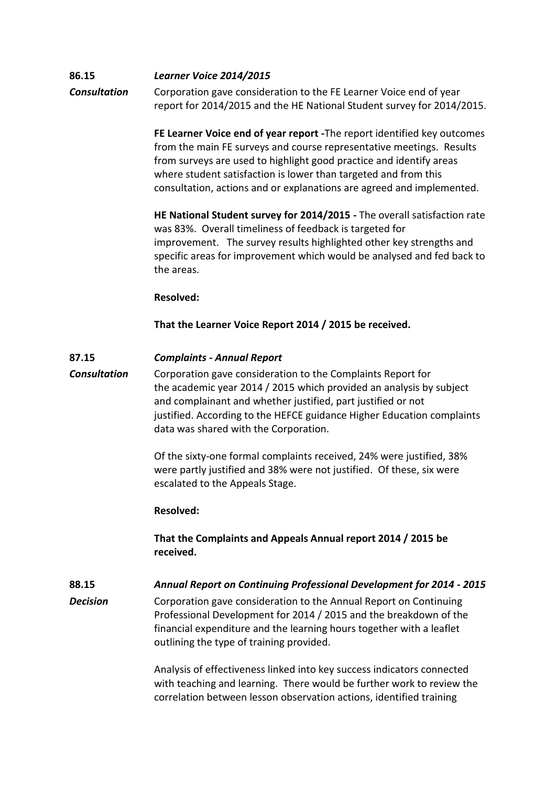# **86.15** *Learner Voice 2014/2015 Consultation* Corporation gave consideration to the FE Learner Voice end of year report for 2014/2015 and the HE National Student survey for 2014/2015.

**FE Learner Voice end of year report -**The report identified key outcomes from the main FE surveys and course representative meetings. Results from surveys are used to highlight good practice and identify areas where student satisfaction is lower than targeted and from this consultation, actions and or explanations are agreed and implemented.

**HE National Student survey for 2014/2015 -** The overall satisfaction rate was 83%. Overall timeliness of feedback is targeted for improvement. The survey results highlighted other key strengths and specific areas for improvement which would be analysed and fed back to the areas.

## **Resolved:**

**That the Learner Voice Report 2014 / 2015 be received.**

# **87.15** *Complaints - Annual Report*

*Consultation* Corporation gave consideration to the Complaints Report for the academic year 2014 / 2015 which provided an analysis by subject and complainant and whether justified, part justified or not justified. According to the HEFCE guidance Higher Education complaints data was shared with the Corporation.

> Of the sixty-one formal complaints received, 24% were justified, 38% were partly justified and 38% were not justified. Of these, six were escalated to the Appeals Stage.

# **Resolved:**

**That the Complaints and Appeals Annual report 2014 / 2015 be received.**

# **88.15** *Annual Report on Continuing Professional Development for 2014 - 2015*

*Decision* Corporation gave consideration to the Annual Report on Continuing Professional Development for 2014 / 2015 and the breakdown of the financial expenditure and the learning hours together with a leaflet outlining the type of training provided.

> Analysis of effectiveness linked into key success indicators connected with teaching and learning. There would be further work to review the correlation between lesson observation actions, identified training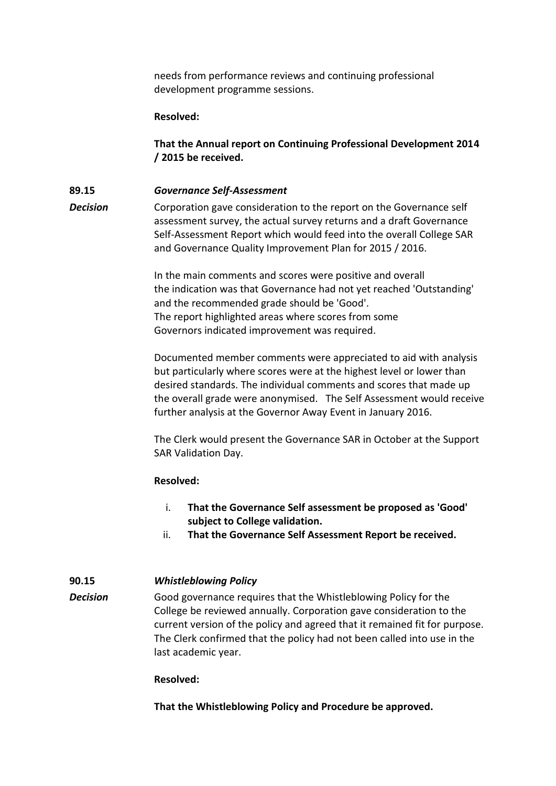needs from performance reviews and continuing professional development programme sessions.

## **Resolved:**

**That the Annual report on Continuing Professional Development 2014 / 2015 be received.**

# **89.15** *Governance Self-Assessment*

**Decision** Corporation gave consideration to the report on the Governance self assessment survey, the actual survey returns and a draft Governance Self-Assessment Report which would feed into the overall College SAR and Governance Quality Improvement Plan for 2015 / 2016.

> In the main comments and scores were positive and overall the indication was that Governance had not yet reached 'Outstanding' and the recommended grade should be 'Good'. The report highlighted areas where scores from some Governors indicated improvement was required.

Documented member comments were appreciated to aid with analysis but particularly where scores were at the highest level or lower than desired standards. The individual comments and scores that made up the overall grade were anonymised. The Self Assessment would receive further analysis at the Governor Away Event in January 2016.

The Clerk would present the Governance SAR in October at the Support SAR Validation Day.

## **Resolved:**

- i. **That the Governance Self assessment be proposed as 'Good' subject to College validation.**
- ii. **That the Governance Self Assessment Report be received.**

# **90.15** *Whistleblowing Policy*

*Decision* Good governance requires that the Whistleblowing Policy for the College be reviewed annually. Corporation gave consideration to the current version of the policy and agreed that it remained fit for purpose. The Clerk confirmed that the policy had not been called into use in the last academic year.

## **Resolved:**

**That the Whistleblowing Policy and Procedure be approved.**